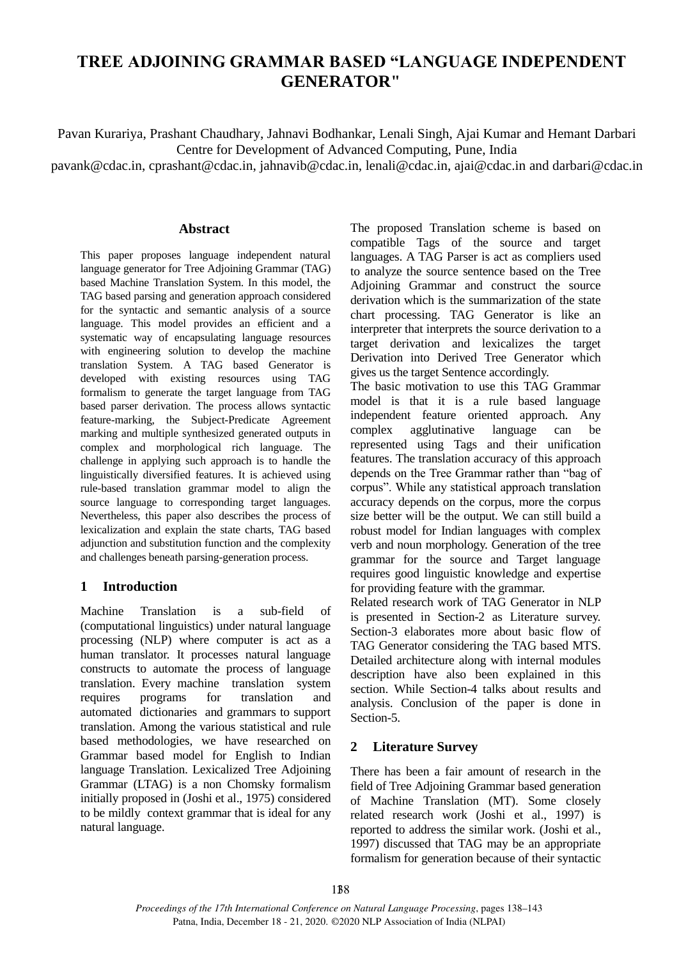# **TREE ADJOINING GRAMMAR BASED "LANGUAGE INDEPENDENT GENERATOR"**

Pavan Kurariya, Prashant Chaudhary, Jahnavi Bodhankar, Lenali Singh, Ajai Kumar and Hemant Darbari Centre for Development of Advanced Computing, Pune, India

[pavank@cdac.in, cprashant@cdac.in,](mailto:pavank@cdac.in) [jahnavib@cdac.in, lenali@cdac.in,](mailto:jahnavib@cdac.in) [ajai@cdac.in a](mailto:ajai@cdac.in)nd [darbari@cdac.in](mailto:darbari@cdac.in)

### **Abstract**

This paper proposes language independent natural language generator for Tree Adjoining Grammar (TAG) based Machine Translation System. In this model, the TAG based parsing and generation approach considered for the syntactic and semantic analysis of a source language. This model provides an efficient and a systematic way of encapsulating language resources with engineering solution to develop the machine translation System. A TAG based Generator is developed with existing resources using TAG formalism to generate the target language from TAG based parser derivation. The process allows syntactic feature-marking, the Subject-Predicate Agreement marking and multiple synthesized generated outputs in complex and morphological rich language. The challenge in applying such approach is to handle the linguistically diversified features. It is achieved using rule-based translation grammar model to align the source language to corresponding target languages. Nevertheless, this paper also describes the process of lexicalization and explain the state charts, TAG based adjunction and substitution function and the complexity and challenges beneath parsing-generation process.

### **1 Introduction**

Machine Translation is a sub-field of (computational linguistics) under natural language processing (NLP) where computer is act as a human translator. It processes natural language constructs to automate the process of language translation. Every machine translation system requires programs for translation and automated dictionaries and grammars to support translation. Among the various statistical and rule based methodologies, we have researched on Grammar based model for English to Indian language Translation. Lexicalized Tree Adjoining Grammar (LTAG) is a non Chomsky formalism initially proposed in (Joshi et al., 1975) considered to be mildly context grammar that is ideal for any natural language.

The proposed Translation scheme is based on compatible Tags of the source and target languages. A TAG Parser is act as compliers used to analyze the source sentence based on the Tree Adjoining Grammar and construct the source derivation which is the summarization of the state chart processing. TAG Generator is like an interpreter that interprets the source derivation to a target derivation and lexicalizes the target Derivation into Derived Tree Generator which gives us the target Sentence accordingly.

The basic motivation to use this TAG Grammar model is that it is a rule based language independent feature oriented approach. Any complex agglutinative language can be represented using Tags and their unification features. The translation accuracy of this approach depends on the Tree Grammar rather than "bag of corpus". While any statistical approach translation accuracy depends on the corpus, more the corpus size better will be the output. We can still build a robust model for Indian languages with complex verb and noun morphology. Generation of the tree grammar for the source and Target language requires good linguistic knowledge and expertise for providing feature with the grammar.

Related research work of TAG Generator in NLP is presented in Section-2 as Literature survey. Section-3 elaborates more about basic flow of TAG Generator considering the TAG based MTS. Detailed architecture along with internal modules description have also been explained in this section. While Section-4 talks about results and analysis. Conclusion of the paper is done in Section-5.

### **2 Literature Survey**

There has been a fair amount of research in the field of Tree Adjoining Grammar based generation of Machine Translation (MT). Some closely related research work (Joshi et al., 1997) is reported to address the similar work. (Joshi et al., 1997) discussed that TAG may be an appropriate formalism for generation because of their syntactic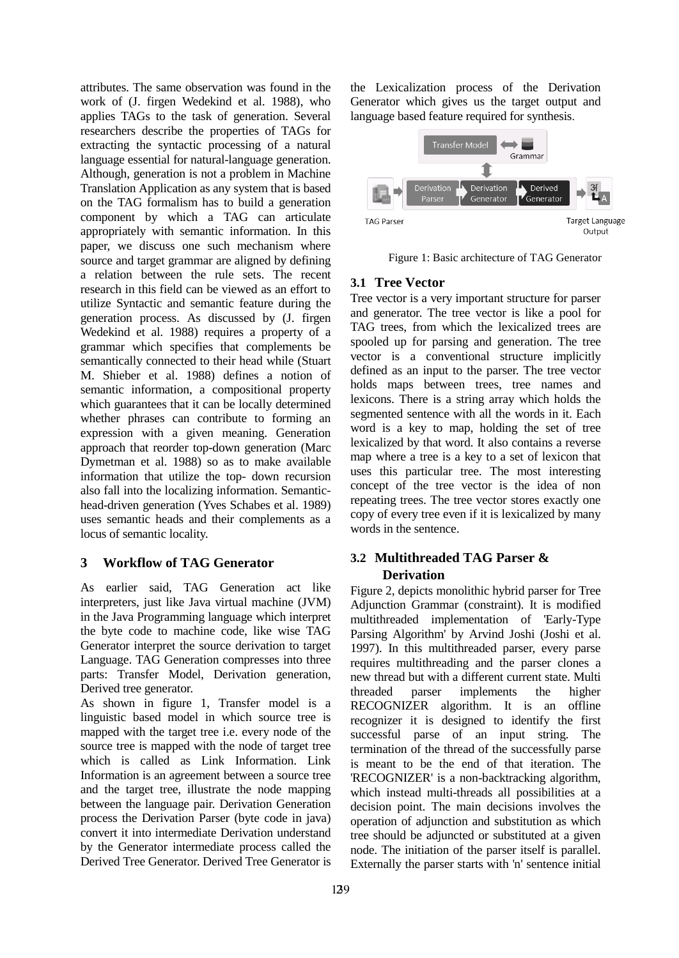attributes. The same observation was found in the work of (J. firgen Wedekind et al. 1988), who applies TAGs to the task of generation. Several researchers describe the properties of TAGs for extracting the syntactic processing of a natural language essential for natural-language generation. Although, generation is not a problem in Machine Translation Application as any system that is based on the TAG formalism has to build a generation component by which a TAG can articulate appropriately with semantic information. In this paper, we discuss one such mechanism where source and target grammar are aligned by defining a relation between the rule sets. The recent research in this field can be viewed as an effort to utilize Syntactic and semantic feature during the generation process. As discussed by (J. firgen Wedekind et al. 1988) requires a property of a grammar which specifies that complements be semantically connected to their head while (Stuart M. Shieber et al. 1988) defines a notion of semantic information, a compositional property which guarantees that it can be locally determined whether phrases can contribute to forming an expression with a given meaning. Generation approach that reorder top-down generation (Marc Dymetman et al. 1988) so as to make available information that utilize the top- down recursion also fall into the localizing information. Semantichead-driven generation (Yves Schabes et al. 1989) uses semantic heads and their complements as a locus of semantic locality.

# **3 Workflow of TAG Generator**

As earlier said, TAG Generation act like interpreters, just like Java virtual machine (JVM) in the Java Programming language which interpret the byte code to machine code, like wise TAG Generator interpret the source derivation to target Language. TAG Generation compresses into three parts: Transfer Model, Derivation generation, Derived tree generator.

As shown in figure 1, Transfer model is a linguistic based model in which source tree is mapped with the target tree i.e. every node of the source tree is mapped with the node of target tree which is called as Link Information. Link Information is an agreement between a source tree and the target tree, illustrate the node mapping between the language pair. Derivation Generation process the Derivation Parser (byte code in java) convert it into intermediate Derivation understand by the Generator intermediate process called the Derived Tree Generator. Derived Tree Generator is

the Lexicalization process of the Derivation Generator which gives us the target output and language based feature required for synthesis.



Figure 1: Basic architecture of TAG Generator

# **3.1 Tree Vector**

Tree vector is a very important structure for parser and generator. The tree vector is like a pool for TAG trees, from which the lexicalized trees are spooled up for parsing and generation. The tree vector is a conventional structure implicitly defined as an input to the parser. The tree vector holds maps between trees, tree names and lexicons. There is a string array which holds the segmented sentence with all the words in it. Each word is a key to map, holding the set of tree lexicalized by that word. It also contains a reverse map where a tree is a key to a set of lexicon that uses this particular tree. The most interesting concept of the tree vector is the idea of non repeating trees. The tree vector stores exactly one copy of every tree even if it is lexicalized by many words in the sentence.

# **3.2 Multithreaded TAG Parser & Derivation**

Figure 2, depicts monolithic hybrid parser for Tree Adjunction Grammar (constraint). It is modified multithreaded implementation of 'Early-Type Parsing Algorithm' by Arvind Joshi (Joshi et al. 1997). In this multithreaded parser, every parse requires multithreading and the parser clones a new thread but with a different current state. Multi threaded parser implements the higher RECOGNIZER algorithm. It is an offline recognizer it is designed to identify the first successful parse of an input string. The termination of the thread of the successfully parse is meant to be the end of that iteration. The 'RECOGNIZER' is a non-backtracking algorithm, which instead multi-threads all possibilities at a decision point. The main decisions involves the operation of adjunction and substitution as which tree should be adjuncted or substituted at a given node. The initiation of the parser itself is parallel. Externally the parser starts with 'n' sentence initial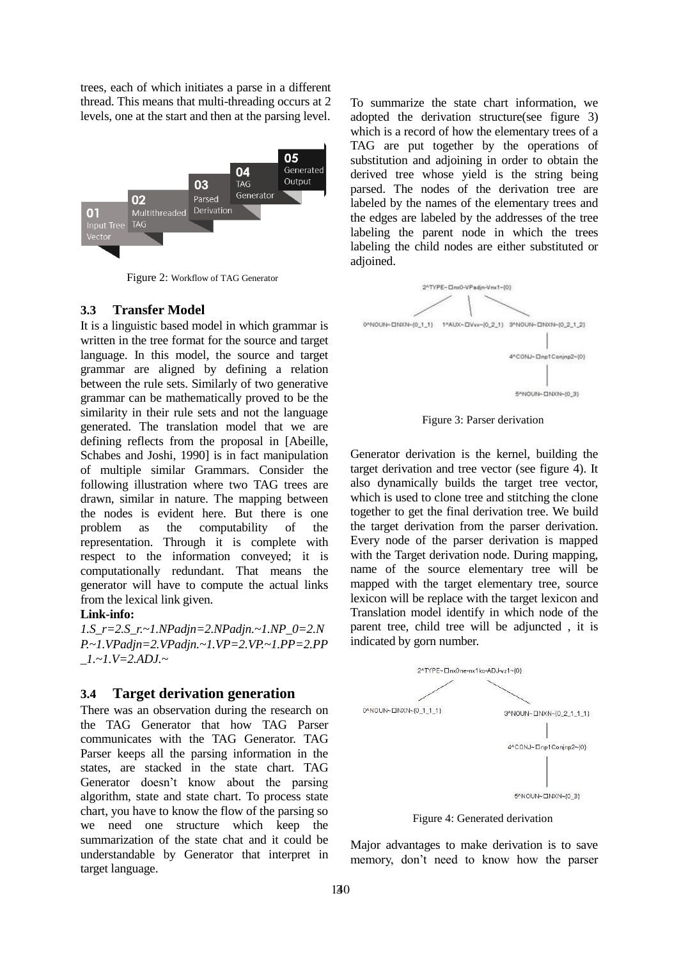trees, each of which initiates a parse in a different thread. This means that multi-threading occurs at 2 levels, one at the start and then at the parsing level.



Figure 2: Workflow of TAG Generator

### **3.3 Transfer Model**

It is a linguistic based model in which grammar is written in the tree format for the source and target language. In this model, the source and target grammar are aligned by defining a relation between the rule sets. Similarly of two generative grammar can be mathematically proved to be the similarity in their rule sets and not the language generated. The translation model that we are defining reflects from the proposal in [Abeille, Schabes and Joshi, 1990] is in fact manipulation of multiple similar Grammars. Consider the following illustration where two TAG trees are drawn, similar in nature. The mapping between the nodes is evident here. But there is one problem as the computability of the representation. Through it is complete with respect to the information conveyed; it is computationally redundant. That means the generator will have to compute the actual links from the lexical link given.

#### **Link-info:**

*1.S\_r=2.S\_r.~1.NPadjn=2.NPadjn.~1.NP\_0=2.N P.~1.VPadjn=2.VPadjn.~1.VP=2.VP.~1.PP=2.PP \_1.~1.V=2.ADJ.~*

### **3.4 Target derivation generation**

There was an observation during the research on the TAG Generator that how TAG Parser communicates with the TAG Generator. TAG Parser keeps all the parsing information in the states, are stacked in the state chart. TAG Generator doesn't know about the parsing algorithm, state and state chart. To process state chart, you have to know the flow of the parsing so we need one structure which keep the summarization of the state chat and it could be understandable by Generator that interpret in target language.

To summarize the state chart information, we adopted the derivation structure(see figure 3) which is a record of how the elementary trees of a TAG are put together by the operations of substitution and adjoining in order to obtain the derived tree whose yield is the string being parsed. The nodes of the derivation tree are labeled by the names of the elementary trees and the edges are labeled by the addresses of the tree labeling the parent node in which the trees labeling the child nodes are either substituted or adjoined.



Figure 3: Parser derivation

Generator derivation is the kernel, building the target derivation and tree vector (see figure 4). It also dynamically builds the target tree vector, which is used to clone tree and stitching the clone together to get the final derivation tree. We build the target derivation from the parser derivation. Every node of the parser derivation is mapped with the Target derivation node. During mapping, name of the source elementary tree will be mapped with the target elementary tree, source lexicon will be replace with the target lexicon and Translation model identify in which node of the parent tree, child tree will be adjuncted , it is indicated by gorn number.



Figure 4: Generated derivation

Major advantages to make derivation is to save memory, don't need to know how the parser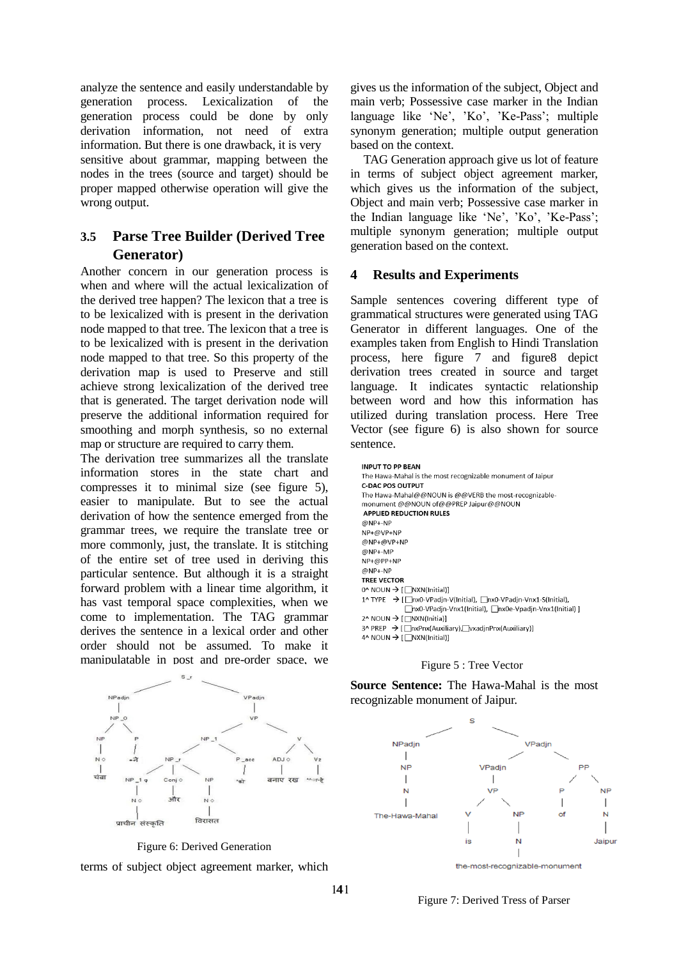analyze the sentence and easily understandable by generation process. Lexicalization of the generation process could be done by only derivation information, not need of extra information. But there is one drawback, it is very sensitive about grammar, mapping between the nodes in the trees (source and target) should be proper mapped otherwise operation will give the wrong output.

# **3.5 Parse Tree Builder (Derived Tree Generator)**

Another concern in our generation process is when and where will the actual lexicalization of the derived tree happen? The lexicon that a tree is to be lexicalized with is present in the derivation node mapped to that tree. The lexicon that a tree is to be lexicalized with is present in the derivation node mapped to that tree. So this property of the derivation map is used to Preserve and still achieve strong lexicalization of the derived tree that is generated. The target derivation node will preserve the additional information required for smoothing and morph synthesis, so no external map or structure are required to carry them.

The derivation tree summarizes all the translate information stores in the state chart and compresses it to minimal size (see figure 5), easier to manipulate. But to see the actual derivation of how the sentence emerged from the grammar trees, we require the translate tree or more commonly, just, the translate. It is stitching of the entire set of tree used in deriving this particular sentence. But although it is a straight forward problem with a linear time algorithm, it has vast temporal space complexities, when we come to implementation. The TAG grammar derives the sentence in a lexical order and other order should not be assumed. To make it manipulatable in post and pre-order space, we





terms of subject object agreement marker, which

gives us the information of the subject, Object and main verb; Possessive case marker in the Indian language like 'Ne', 'Ko', 'Ke-Pass'; multiple synonym generation; multiple output generation based on the context.

TAG Generation approach give us lot of feature in terms of subject object agreement marker, which gives us the information of the subject, Object and main verb; Possessive case marker in the Indian language like 'Ne', 'Ko', 'Ke-Pass'; multiple synonym generation; multiple output generation based on the context.

# **4 Results and Experiments**

Sample sentences covering different type of grammatical structures were generated using TAG Generator in different languages. One of the examples taken from English to Hindi Translation process, here figure 7 and figure8 depict derivation trees created in source and target language. It indicates syntactic relationship between word and how this information has utilized during translation process. Here Tree Vector (see figure 6) is also shown for source sentence.

| <b>INPUT TO PP BEAN</b>                                                         |
|---------------------------------------------------------------------------------|
| The Hawa-Mahal is the most recognizable monument of Jaipur                      |
| <b>C-DAC POS OUTPUT</b>                                                         |
| The Hawa-Mahal@@NOUN is @@VERB the most-recognizable-                           |
| monument @@NOUN of@@PREP Jaipur@@NOUN                                           |
| <b>APPLIED REDUCTION RULES</b>                                                  |
| @NP+-NP                                                                         |
| $NP + @VP + NP$                                                                 |
| @NP+@VP+NP                                                                      |
| @NP+-MP                                                                         |
| $NP + @PP + NP$                                                                 |
| @NP+-NP                                                                         |
| <b>TREE VECTOR</b>                                                              |
| $0^{\wedge}$ NOUN $\rightarrow$ [ $\Box$ NXN(Initial)]                          |
| 1^ TYPE → [ nx0-VPadin-V(Initial), nx0-VPadin-Vnx1-S(Initial),                  |
| □nx0-VPadin-Vnx1(Initial), □nx0e-Vpadin-Vnx1(Initial) ]                         |
| 2^ NOUN $\rightarrow$ [ $\Box$ NXN(Initia)]                                     |
| $3^{\circ}$ PREP $\rightarrow$ [ $\Box$ nxPnx(Auxiliary), vxadjnPnx(Auxiliary)] |
| 4^ NOUN $\rightarrow$ [ $\Box$ NXN(Initial)]                                    |



**Source Sentence:** The Hawa-Mahal is the most recognizable monument of Jaipur.

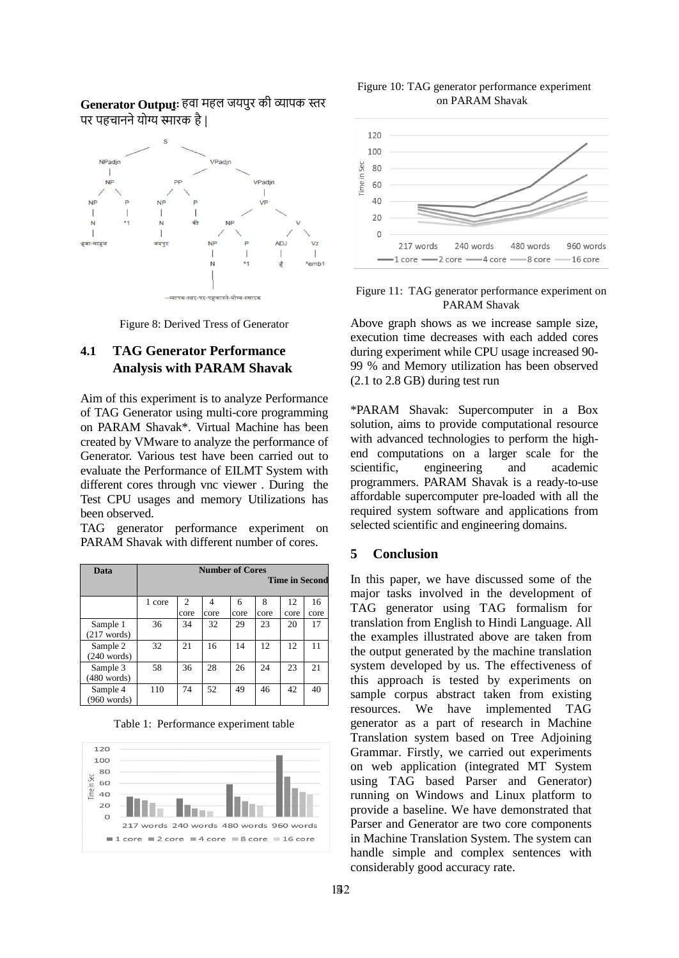### Generator Output: हवा महल जयपुर की व्यापक स्तर पर पहचानने योग्य स्मारक है।



Figure 8: Derived Tress of Generator

# **4.1 TAG Generator Performance Analysis with PARAM Shavak**

Aim of this experiment is to analyze Performance of TAG Generator using multi-core programming on PARAM Shavak\*. Virtual Machine has been created by VMware to analyze the performance of Generator. Various test have been carried out to evaluate the Performance of EILMT System with different cores through vnc viewer . During the Test CPU usages and memory Utilizations has been observed.

TAG generator performance experiment on PARAM Shavak with different number of cores.

| Data                              | <b>Number of Cores</b><br><b>Time in Second</b> |                |      |      |      |      |      |
|-----------------------------------|-------------------------------------------------|----------------|------|------|------|------|------|
|                                   | 1 core                                          | $\overline{c}$ | 4    | 6    | 8    | 12   | 16   |
|                                   |                                                 | core           | core | core | core | core | core |
| Sample 1<br>$(217 \text{ words})$ | 36                                              | 34             | 32   | 29   | 23   | 20   | 17   |
| Sample 2<br>$(240 \text{ words})$ | 32                                              | 21             | 16   | 14   | 12   | 12   | 11   |
| Sample 3<br>$(480 \text{ words})$ | 58                                              | 36             | 28   | 26   | 24   | 23   | 21   |
| Sample 4<br>$(960 \text{ words})$ | 110                                             | 74             | 52   | 49   | 46   | 42   | 40   |

Table 1: Performance experiment table



Figure 10: TAG generator performance experiment on PARAM Shavak



Figure 11: TAG generator performance experiment on PARAM Shavak

Above graph shows as we increase sample size, execution time decreases with each added cores during experiment while CPU usage increased 90- 99 % and Memory utilization has been observed (2.1 to 2.8 GB) during test run

\*PARAM Shavak: Supercomputer in a Box solution, aims to provide computational resource with advanced technologies to perform the highend computations on a larger scale for the scientific, engineering and academic programmers. PARAM Shavak is a ready-to-use affordable supercomputer pre-loaded with all the required system software and applications from selected scientific and engineering domains.

### **5 Conclusion**

In this paper, we have discussed some of the major tasks involved in the development of TAG generator using TAG formalism for translation from English to Hindi Language. All the examples illustrated above are taken from the output generated by the machine translation system developed by us. The effectiveness of this approach is tested by experiments on sample corpus abstract taken from existing resources. We have implemented TAG generator as a part of research in Machine Translation system based on Tree Adjoining Grammar. Firstly, we carried out experiments on web application (integrated MT System using TAG based Parser and Generator) running on Windows and Linux platform to provide a baseline. We have demonstrated that Parser and Generator are two core components in Machine Translation System. The system can handle simple and complex sentences with considerably good accuracy rate.